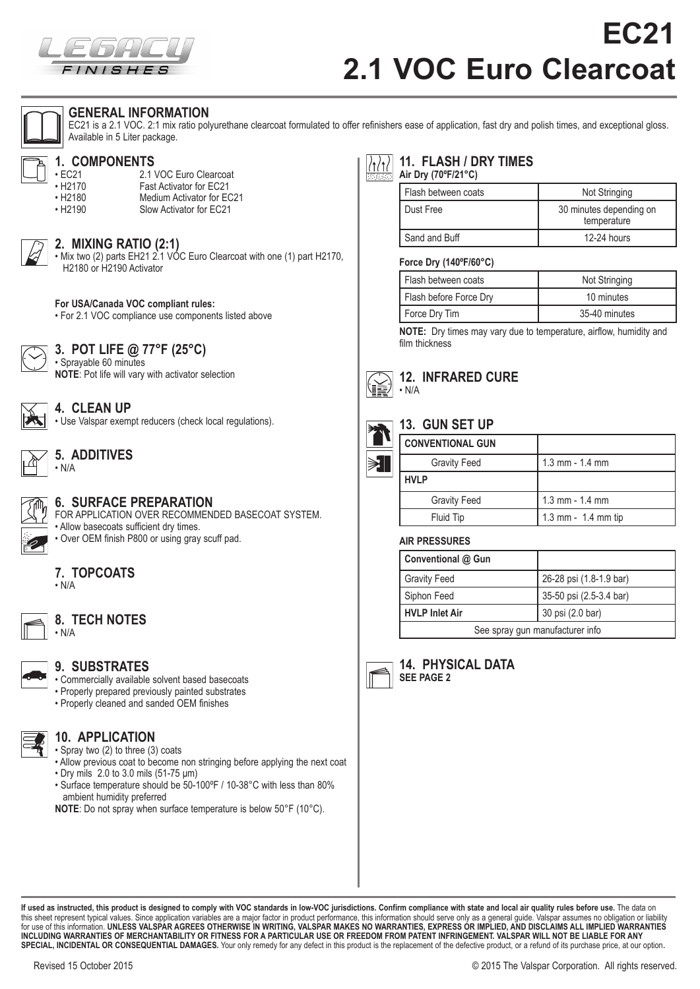

# **EC21 2.1 VOC Euro Clearcoat**



#### **GENERAL INFORMATION**

EC21 is a 2.1 VOC. 2:1 mix ratio polyurethane clearcoat formulated to offer refinishers ease of application, fast dry and polish times, and exceptional gloss. Available in 5 Liter package.



## **1. COMPONENTS**

• EC21 2.1 VOC Euro Clearcoat<br>• H2170 Fast Activator for EC21 • H2170 Fast Activator for EC21 Medium Activator for EC21 • H2190 Slow Activator for EC21



#### **2. MIXING RATIO (2:1)**

• Mix two (2) parts EH21 2.1 VOC Euro Clearcoat with one (1) part H2170, H2180 or H2190 Activator



• For 2.1 VOC compliance use components listed above



#### **3. POT LIFE @ 77°F (25°C)**

• Sprayable 60 minutes **NOTE**: Pot life will vary with activator selection



### **4. CLEAN UP**

• Use Valspar exempt reducers (check local regulations).



### **5. ADDITIVES**



## **6. SURFACE PREPARATION**

FOR APPLICATION OVER RECOMMENDED BASECOAT SYSTEM. • Allow basecoats sufficient dry times. • Over OEM finish P800 or using gray scuff pad.

#### **7. TOPCOATS**

 $\cdot$  N/A



#### **8. TECH NOTES** • N/A

#### **9. SUBSTRATES**

- Commercially available solvent based basecoats • Properly prepared previously painted substrates
- Properly cleaned and sanded OEM finishes



**10. APPLICATION** • Spray two (2) to three (3) coats

- Allow previous coat to become non stringing before applying the next coat • Dry mils 2.0 to 3.0 mils (51-75 μm)
- Surface temperature should be 50-100ºF / 10-38°C with less than 80% ambient humidity preferred
- **NOTE**: Do not spray when surface temperature is below 50°F (10°C).

#### **11. FLASH / DRY TIMES Air Dry (70ºF/21°C)**

| Flash between coats | Not Stringing                          |
|---------------------|----------------------------------------|
| Dust Free           | 30 minutes depending on<br>temperature |
| Sand and Buff       | 12-24 hours                            |

#### **Force Dry (140ºF/60°C)**

| Flash between coats    | Not Stringing |  |
|------------------------|---------------|--|
| Flash before Force Dry | 10 minutes    |  |
| Force Dry Tim          | 35-40 minutes |  |

**NOTE:** Dry times may vary due to temperature, airflow, humidity and film thickness



## **13. GUN SET UP**

 $\cdot$  N/A

**12. INFRARED CURE**

| ₹ |  |
|---|--|
|   |  |
|   |  |

| .                       |                     |
|-------------------------|---------------------|
| <b>CONVENTIONAL GUN</b> |                     |
| <b>Gravity Feed</b>     | 1.3 mm $-$ 1.4 mm   |
| <b>HVLP</b>             |                     |
| <b>Gravity Feed</b>     | $1.3$ mm $- 1.4$ mm |
| <b>Fluid Tip</b>        | 1.3 mm - 1.4 mm tip |

#### **AIR PRESSURES**

| Conventional @ Gun              |                         |  |
|---------------------------------|-------------------------|--|
| <b>Gravity Feed</b>             | 26-28 psi (1.8-1.9 bar) |  |
| Siphon Feed                     | 35-50 psi (2.5-3.4 bar) |  |
| <b>HVLP Inlet Air</b>           | 30 psi (2.0 bar)        |  |
| See spray gun manufacturer info |                         |  |



**14. PHYSICAL DATA SEE PAGE 2**

**If used as instructed, this product is designed to comply with VOC standards in low-VOC jurisdictions. Confirm compliance with state and local air quality rules before use.** The data on this sheet represent typical values. Since application variables are a major factor in product performance, this information should serve only as a general guide. Valspar assumes no obligation or liability<br>for use of this INCLUDING WARRANTIES OF MERCHANTABILITY OR FITNESS FOR A PARTICULAR USE OR FREEDOM FROM PATENT INFRINGEMENT. VALSPAR WILL NOT BE LIABLE FOR ANY<br>SPECIAL, INCIDENTAL OR CONSEQUENTIAL DAMAGES. Your only remedy for any defect